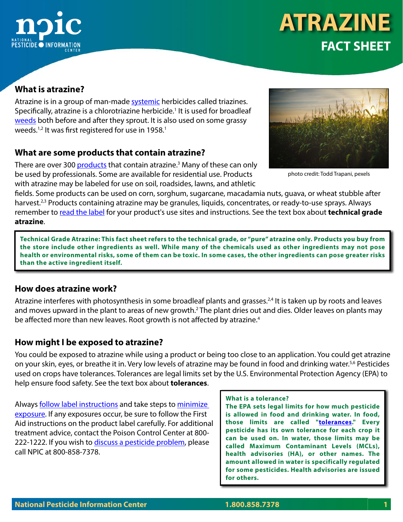

# **ATRAZINE FACT SHEET**

## **What is atrazine?**

Atrazine is in a group of man-made [systemic](http://www.npic.orst.edu/outreach/systemic-infographic.png) herbicides called triazines. Specifically, atrazine is a chlorotriazine herbicide.<sup>1</sup> It is used for broadleaf [weeds](http://npic.orst.edu/pest/weeds.html) both before and after they sprout. It is also used on some grassy weeds.<sup>1,2</sup> It was first registered for use in 1958.<sup>1</sup>

### **What are some products that contain atrazine?**

There are over 300 <u>products</u> that contain atrazine.<sup>3</sup> Many of these can only be used by professionals. Some are available for residential use. Products with atrazine may be labeled for use on soil, roadsides, lawns, and athletic



photo credit: Todd Trapani, pexels

fields. Some products can be used on corn, sorghum, sugarcane, macadamia nuts, guava, or wheat stubble after harvest.<sup>2,3</sup> Products containing atrazine may be granules, liquids, concentrates, or ready-to-use sprays. Always remember to [read the label](http://npic.orst.edu/health/readlabel.html) for your product's use sites and instructions. See the text box about **technical grade atrazine**.

**Technical Grade Atrazine: This fact sheet refers to the technical grade, or "pure" atrazine only. Products you buy from the store include other ingredients as well. While many of the chemicals used as other ingredients may not pose health or environmental risks, some of them can be toxic. In some cases, the other ingredients can pose greater risks than the active ingredient itself.**

### **How does atrazine work?**

Atrazine interferes with photosynthesis in some broadleaf plants and grasses.<sup>2,4</sup> It is taken up by roots and leaves and moves upward in the plant to areas of new growth.<sup>2</sup> The plant dries out and dies. Older leaves on plants may be affected more than new leaves. Root growth is not affected by atrazine.<sup>4</sup>

### **How might I be exposed to atrazine?**

You could be exposed to atrazine while using a product or being too close to an application. You could get atrazine on your skin, eyes, or breathe it in. Very low levels of atrazine may be found in food and drinking water.<sup>5,6</sup> Pesticides used on crops have tolerances. Tolerances are legal limits set by the U.S. Environmental Protection Agency (EPA) to help ensure food safety. See the text box about **tolerances**.

Always [follow label instructions](http://npic.orst.edu/health/readlabel.html) and take steps to minimize [exposure](http://npic.orst.edu/factsheets/MinimizingExposure.html). If any exposures occur, be sure to follow the First Aid instructions on the product label carefully. For additional treatment advice, contact the Poison Control Center at 800- 222-1222. If you wish to discuss a pesticide problem, please call NPIC at 800-858-7378.

#### **What is a tolerance?**

**The EPA sets legal limits for how much pesticide is allowed in food and drinking water. In food, those limits are called "[tolerances.](http://npic.orst.edu/reg/tolerance.html)" Every pesticide has its own tolerance for each crop it can be used on. In water, those limits may be called Maximum Contaminant Levels (MCLs), health advisories (HA), or other names. The amount allowed in water is specifically regulated for some pesticides. Health advisories are issued for others.**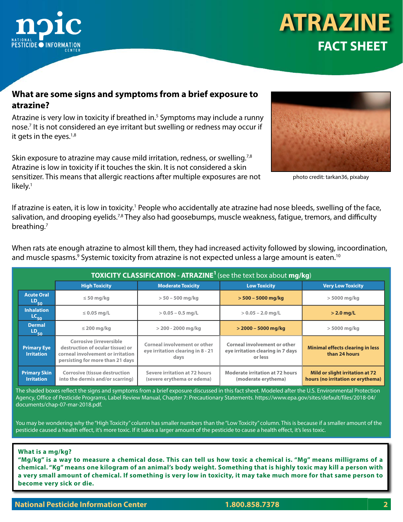

#### **What are some signs and symptoms from a brief exposure to atrazine?**

Atrazine is very low in toxicity if breathed in.<sup>5</sup> Symptoms may include a runny nose.7 It is not considered an eye irritant but swelling or redness may occur if it gets in the eyes. $1,8$ 

Skin exposure to atrazine may cause mild irritation, redness, or swelling.<sup>7,8</sup> Atrazine is low in toxicity if it touches the skin. It is not considered a skin sensitizer. This means that allergic reactions after multiple exposures are not likely.<sup>1</sup>



photo credit: tarkan36, pixabay

If atrazine is eaten, it is low in toxicity.<sup>1</sup> People who accidentally ate atrazine had nose bleeds, swelling of the face, salivation, and drooping eyelids.<sup>7,8</sup> They also had goosebumps, muscle weakness, fatigue, tremors, and difficulty breathing.<sup>7</sup>

When rats ate enough atrazine to almost kill them, they had increased activity followed by slowing, incoordination, and muscle spasms. $^9$  Systemic toxicity from atrazine is not expected unless a large amount is eaten. $^{10}$ 

| <b>TOXICITY CLASSIFICATION - ATRAZINE<sup>1</sup></b> (see the text box about mg/kg) |                                                                                                                                              |                                                                                  |                                                                              |                                                                             |
|--------------------------------------------------------------------------------------|----------------------------------------------------------------------------------------------------------------------------------------------|----------------------------------------------------------------------------------|------------------------------------------------------------------------------|-----------------------------------------------------------------------------|
|                                                                                      | <b>High Toxicity</b>                                                                                                                         | <b>Moderate Toxicity</b>                                                         | <b>Low Toxicity</b>                                                          | <b>Very Low Toxicity</b>                                                    |
| <b>Acute Oral</b><br>$LD_{50}$                                                       | $\leq 50$ mg/kg                                                                                                                              | $> 50 - 500$ mg/kg                                                               | $> 500 - 5000$ mg/kg                                                         | $>$ 5000 mg/kg                                                              |
| <b>Inhalation</b><br>$LC_{50}$                                                       | $\leq$ 0.05 mg/L                                                                                                                             | $> 0.05 - 0.5$ mg/L                                                              | $> 0.05 - 2.0$ mg/L                                                          | $>$ 2.0 mg/L                                                                |
| <b>Dermal</b><br>$LD_{50}$                                                           | $\leq$ 200 mg/kg                                                                                                                             | $>$ 200 - 2000 mg/kg                                                             | $>$ 2000 – 5000 mg/kg                                                        | $>$ 5000 mg/kg                                                              |
| <b>Primary Eye</b><br><b>Irritation</b>                                              | <b>Corrosive (irreversible)</b><br>destruction of ocular tissue) or<br>corneal involvement or irritation<br>persisting for more than 21 days | <b>Corneal involvement or other</b><br>eye irritation clearing in 8 - 21<br>days | Corneal involvement or other<br>eye irritation clearing in 7 days<br>or less | <b>Minimal effects clearing in less</b><br>than 24 hours                    |
| <b>Primary Skin</b><br><b>Irritation</b>                                             | <b>Corrosive (tissue destruction</b><br>into the dermis and/or scarring)                                                                     | Severe irritation at 72 hours<br>(severe erythema or edema)                      | <b>Moderate irritation at 72 hours</b><br>(moderate erythema)                | <b>Mild or slight irritation at 72</b><br>hours (no irritation or erythema) |

The shaded boxes reflect the signs and symptoms from a brief exposure discussed in this fact sheet. Modeled after the U.S. Environmental Protection Agency, Office of Pesticide Programs, Label Review Manual, Chapter 7: Precautionary Statements. https://www.epa.gov/sites/default/files/2018-04/ documents/chap-07-mar-2018.pdf.

You may be wondering why the "High Toxicity" column has smaller numbers than the "Low Toxicity" column. This is because if a smaller amount of the pesticide caused a health effect, it's more toxic. If it takes a larger amount of the pesticide to cause a health effect, it's less toxic.

#### **What is a mg/kg?**

**"Mg/kg" is a way to measure a chemical dose. This can tell us how toxic a chemical is. "Mg" means milligrams of a chemical. "Kg" means one kilogram of an animal's body weight. Something that is highly toxic may kill a person with a very small amount of chemical. If something is very low in toxicity, it may take much more for that same person to become very sick or die.**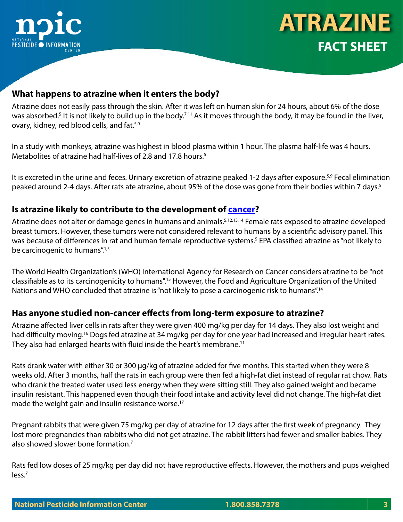



#### **What happens to atrazine when it enters the body?**

Atrazine does not easily pass through the skin. After it was left on human skin for 24 hours, about 6% of the dose was absorbed.<sup>5</sup> It is not likely to build up in the body.<sup>7,11</sup> As it moves through the body, it may be found in the liver, ovary, kidney, red blood cells, and fat.<sup>5,9</sup>

In a study with monkeys, atrazine was highest in blood plasma within 1 hour. The plasma half-life was 4 hours. Metabolites of atrazine had half-lives of 2.8 and 17.8 hours.<sup>5</sup>

It is excreted in the urine and feces. Urinary excretion of atrazine peaked 1-2 days after exposure.<sup>5,9</sup> Fecal elimination peaked around 2-4 days. After rats ate atrazine, about 95% of the dose was gone from their bodies within 7 days.<sup>5</sup>

#### **Is atrazine likely to contribute to the development of [cancer?](http://npic.orst.edu/ingred/cheminfo.html#cancer)**

Atrazine does not alter or damage genes in humans and animals.<sup>5,12,13,14</sup> Female rats exposed to atrazine developed breast tumors. However, these tumors were not considered relevant to humans by a scientific advisory panel. This was because of differences in rat and human female reproductive systems.<sup>5</sup> EPA classified atrazine as "not likely to be carcinogenic to humans".<sup>1,5</sup>

The World Health Organization's (WHO) International Agency for Research on Cancer considers atrazine to be "not classifiable as to its carcinogenicity to humans".15 However, the Food and Agriculture Organization of the United Nations and WHO concluded that atrazine is "not likely to pose a carcinogenic risk to humans".<sup>14</sup>

#### **Has anyone studied non-cancer effects from long-term exposure to atrazine?**

Atrazine affected liver cells in rats after they were given 400 mg/kg per day for 14 days. They also lost weight and had difficulty moving.<sup>16</sup> Dogs fed atrazine at 34 mg/kg per day for one year had increased and irregular heart rates. They also had enlarged hearts with fluid inside the heart's membrane.<sup>11</sup>

Rats drank water with either 30 or 300 µg/kg of atrazine added for five months. This started when they were 8 weeks old. After 3 months, half the rats in each group were then fed a high-fat diet instead of regular rat chow. Rats who drank the treated water used less energy when they were sitting still. They also gained weight and became insulin resistant. This happened even though their food intake and activity level did not change. The high-fat diet made the weight gain and insulin resistance worse.<sup>17</sup>

Pregnant rabbits that were given 75 mg/kg per day of atrazine for 12 days after the first week of pregnancy. They lost more pregnancies than rabbits who did not get atrazine. The rabbit litters had fewer and smaller babies. They also showed slower bone formation.7

Rats fed low doses of 25 mg/kg per day did not have reproductive effects. However, the mothers and pups weighed less.<sup>7</sup>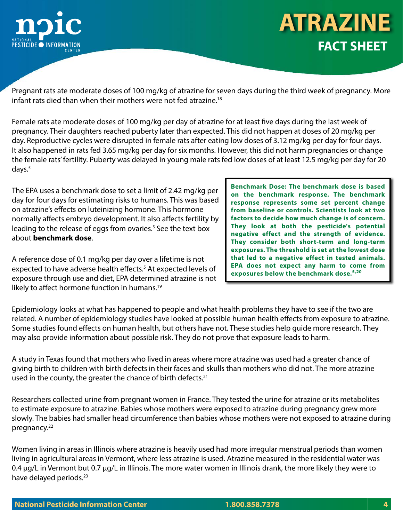

Pregnant rats ate moderate doses of 100 mg/kg of atrazine for seven days during the third week of pregnancy. More infant rats died than when their mothers were not fed atrazine.<sup>18</sup>

Female rats ate moderate doses of 100 mg/kg per day of atrazine for at least five days during the last week of pregnancy. Their daughters reached puberty later than expected. This did not happen at doses of 20 mg/kg per day. Reproductive cycles were disrupted in female rats after eating low doses of 3.12 mg/kg per day for four days. It also happened in rats fed 3.65 mg/kg per day for six months. However, this did not harm pregnancies or change the female rats' fertility. Puberty was delayed in young male rats fed low doses of at least 12.5 mg/kg per day for 20 days.<sup>5</sup>

The EPA uses a benchmark dose to set a limit of 2.42 mg/kg per day for four days for estimating risks to humans. This was based on atrazine's effects on luteinizing hormone. This hormone normally affects embryo development. It also affects fertility by leading to the release of eggs from ovaries.<sup>5</sup> See the text box about **benchmark dose**.

A reference dose of 0.1 mg/kg per day over a lifetime is not expected to have adverse health effects.<sup>5</sup> At expected levels of exposure through use and diet, EPA determined atrazine is not likely to affect hormone function in humans.<sup>19</sup>

**Benchmark Dose: The benchmark dose is based on the benchmark response. The benchmark response represents some set percent change from baseline or controls. Scientists look at two factors to decide how much change is of concern. They look at both the pesticide's potential negative effect and the strength of evidence. They consider both short-term and long-term exposures. The threshold is set at the lowest dose that led to a negative effect in tested animals. EPA does not expect any harm to come from exposures below the benchmark dose.5,20**

Epidemiology looks at what has happened to people and what health problems they have to see if the two are related. A number of epidemiology studies have looked at possible human health effects from exposure to atrazine. Some studies found effects on human health, but others have not. These studies help guide more research. They may also provide information about possible risk. They do not prove that exposure leads to harm.

A study in Texas found that mothers who lived in areas where more atrazine was used had a greater chance of giving birth to children with birth defects in their faces and skulls than mothers who did not. The more atrazine used in the county, the greater the chance of birth defects. $21$ 

Researchers collected urine from pregnant women in France. They tested the urine for atrazine or its metabolites to estimate exposure to atrazine. Babies whose mothers were exposed to atrazine during pregnancy grew more slowly. The babies had smaller head circumference than babies whose mothers were not exposed to atrazine during pregnancy.<sup>22</sup>

Women living in areas in Illinois where atrazine is heavily used had more irregular menstrual periods than women living in agricultural areas in Vermont, where less atrazine is used. Atrazine measured in the residential water was 0.4 µg/L in Vermont but 0.7 µg/L in Illinois. The more water women in Illinois drank, the more likely they were to have delayed periods.<sup>23</sup>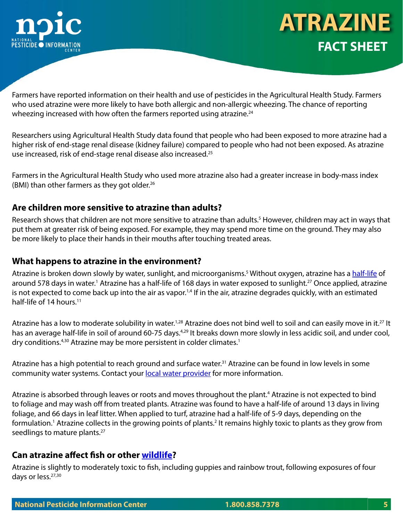



Farmers have reported information on their health and use of pesticides in the Agricultural Health Study. Farmers who used atrazine were more likely to have both allergic and non-allergic wheezing. The chance of reporting wheezing increased with how often the farmers reported using atrazine.<sup>24</sup>

Researchers using Agricultural Health Study data found that people who had been exposed to more atrazine had a higher risk of end-stage renal disease (kidney failure) compared to people who had not been exposed. As atrazine use increased, risk of end-stage renal disease also increased.25

Farmers in the Agricultural Health Study who used more atrazine also had a greater increase in body-mass index (BMI) than other farmers as they got older.<sup>26</sup>

### **Are children more sensitive to atrazine than adults?**

Research shows that children are not more sensitive to atrazine than adults.<sup>5</sup> However, children may act in ways that put them at greater risk of being exposed. For example, they may spend more time on the ground. They may also be more likely to place their hands in their mouths after touching treated areas.

#### **What happens to atrazine in the environment?**

Atrazine is broken down slowly by water, sunlight, and microorganisms.<sup>5</sup> Without oxygen, atrazine has a <u>half-life</u> of around 578 days in water.<sup>1</sup> Atrazine has a half-life of 168 days in water exposed to sunlight.<sup>27</sup> Once applied, atrazine is not expected to come back up into the air as vapor.<sup>1,4</sup> If in the air, atrazine degrades quickly, with an estimated half-life of 14 hours.<sup>11</sup>

Atrazine has a low to moderate solubility in water.<sup>1,28</sup> Atrazine does not bind well to soil and can easily move in it.<sup>27</sup> It has an average half-life in soil of around 60-75 days.<sup>4,29</sup> It breaks down more slowly in less acidic soil, and under cool, dry conditions.<sup>4,30</sup> Atrazine may be more persistent in colder climates.<sup>1</sup>

Atrazine has a high potential to reach ground and surface water.<sup>31</sup> Atrazine can be found in low levels in some community water systems. Contact your [local water provider](http://npic.orst.edu/swcdmlr.html) for more information.

Atrazine is absorbed through leaves or roots and moves throughout the plant.<sup>4</sup> Atrazine is not expected to bind to foliage and may wash off from treated plants. Atrazine was found to have a half-life of around 13 days in living foliage, and 66 days in leaf litter. When applied to turf, atrazine had a half-life of 5-9 days, depending on the formulation.<sup>1</sup> Atrazine collects in the growing points of plants.<sup>2</sup> It remains highly toxic to plants as they grow from seedlings to mature plants.<sup>27</sup>

### **Can atrazine affect fish or other [wildlife?](http://npic.orst.edu/envir/wildlife.html)**

Atrazine is slightly to moderately toxic to fish, including guppies and rainbow trout, following exposures of four days or less.27,30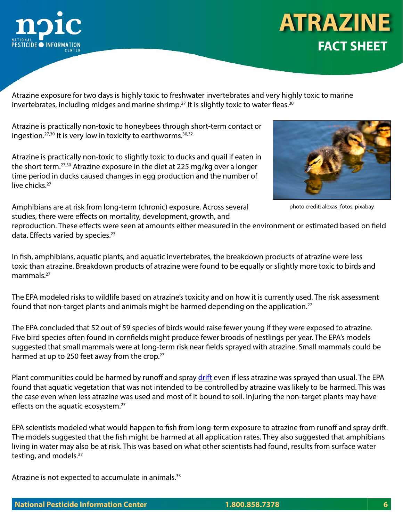

Atrazine exposure for two days is highly toxic to freshwater invertebrates and very highly toxic to marine invertebrates, including midges and marine shrimp.<sup>27</sup> It is slightly toxic to water fleas.<sup>30</sup>

Atrazine is practically non-toxic to honeybees through short-term contact or ingestion. $27,30$  It is very low in toxicity to earthworms.  $30,32$ 

Atrazine is practically non-toxic to slightly toxic to ducks and quail if eaten in the short term.27,30 Atrazine exposure in the diet at 225 mg/kg over a longer time period in ducks caused changes in egg production and the number of live chicks.<sup>27</sup>



photo credit: alexas\_fotos, pixabay

Amphibians are at risk from long-term (chronic) exposure. Across several studies, there were effects on mortality, development, growth, and

reproduction. These effects were seen at amounts either measured in the environment or estimated based on field data. Effects varied by species.<sup>27</sup>

In fish, amphibians, aquatic plants, and aquatic invertebrates, the breakdown products of atrazine were less toxic than atrazine. Breakdown products of atrazine were found to be equally or slightly more toxic to birds and mammals.<sup>27</sup>

The EPA modeled risks to wildlife based on atrazine's toxicity and on how it is currently used. The risk assessment found that non-target plants and animals might be harmed depending on the application.<sup>27</sup>

The EPA concluded that 52 out of 59 species of birds would raise fewer young if they were exposed to atrazine. Five bird species often found in cornfields might produce fewer broods of nestlings per year. The EPA's models suggested that small mammals were at long-term risk near fields sprayed with atrazine. Small mammals could be harmed at up to 250 feet away from the crop.<sup>27</sup>

Plant communities could be harmed by runoff and spray [drift](http://npic.orst.edu/reg/drift.html) even if less atrazine was sprayed than usual. The EPA found that aquatic vegetation that was not intended to be controlled by atrazine was likely to be harmed. This was the case even when less atrazine was used and most of it bound to soil. Injuring the non-target plants may have effects on the aquatic ecosystem.<sup>27</sup>

EPA scientists modeled what would happen to fish from long-term exposure to atrazine from runoff and spray drift. The models suggested that the fish might be harmed at all application rates. They also suggested that amphibians living in water may also be at risk. This was based on what other scientists had found, results from surface water testing, and models.<sup>27</sup>

Atrazine is not expected to accumulate in animals.<sup>33</sup>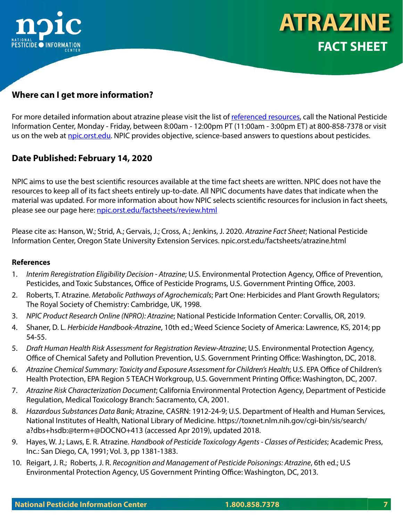

## **Where can I get more information?**

For more detailed information about atrazine please visit the list of [referenced resources](http://npic.orst.edu/factsheets/atrazinerefs.html), call the National Pesticide Information Center, Monday - Friday, between 8:00am - 12:00pm PT (11:00am - 3:00pm ET) at 800-858-7378 or visit us on the web at [npic.orst.edu](http://npic.orst.edu). NPIC provides objective, science-based answers to questions about pesticides.

### **Date Published: February 14, 2020**

NPIC aims to use the best scientific resources available at the time fact sheets are written. NPIC does not have the resources to keep all of its fact sheets entirely up-to-date. All NPIC documents have dates that indicate when the material was updated. For more information about how NPIC selects scientific resources for inclusion in fact sheets, please see our page here: [npic.orst.edu/factsheets/review.html](http://npic.orst.edu/factsheets/review.html )

Please cite as: Hanson, W.; Strid, A.; Gervais, J.; Cross, A.; Jenkins, J. 2020. *Atrazine Fact Sheet*; National Pesticide Information Center, Oregon State University Extension Services. npic.orst.edu/factsheets/atrazine.html

#### **References**

- 1. *Interim Reregistration Eligibility Decision Atrazine*; U.S. Environmental Protection Agency, Office of Prevention, Pesticides, and Toxic Substances, Office of Pesticide Programs, U.S. Government Printing Office, 2003.
- 2. Roberts, T. Atrazine. *Metabolic Pathways of Agrochemicals*; Part One: Herbicides and Plant Growth Regulators; The Royal Society of Chemistry: Cambridge, UK, 1998.
- 3. *NPIC Product Research Online (NPRO): Atrazine*; National Pesticide Information Center: Corvallis, OR, 2019.
- 4. Shaner, D. L. *Herbicide Handbook-Atrazine*, 10th ed.; Weed Science Society of America: Lawrence, KS, 2014; pp 54-55.
- 5. *Draft Human Health Risk Assessment for Registration Review-Atrazine*; U.S. Environmental Protection Agency, Office of Chemical Safety and Pollution Prevention, U.S. Government Printing Office: Washington, DC, 2018.
- 6. *Atrazine Chemical Summary: Toxicity and Exposure Assessment for Children's Health*; U.S. EPA Office of Children's Health Protection, EPA Region 5 TEACH Workgroup, U.S. Government Printing Office: Washington, DC, 2007.
- 7. *Atrazine Risk Characterization Document*; California Environmental Protection Agency, Department of Pesticide Regulation, Medical Toxicology Branch: Sacramento, CA, 2001.
- 8. *Hazardous Substances Data Bank*; Atrazine, CASRN: 1912-24-9; U.S. Department of Health and Human Services, National Institutes of Health, National Library of Medicine. https://toxnet.nlm.nih.gov/cgi-bin/sis/search/ a?dbs+hsdb:@term+@DOCNO+413 (accessed Apr 2019), updated 2018.
- 9. Hayes, W. J.; Laws, E. R. Atrazine. *Handbook of Pesticide Toxicology Agents Classes of Pesticides*; Academic Press, Inc.: San Diego, CA, 1991; Vol. 3, pp 1381-1383.
- 10. Reigart, J. R.; Roberts, J. R. *Recognition and Management of Pesticide Poisonings: Atrazine*, 6th ed.; U.S Environmental Protection Agency, US Government Printing Office: Washington, DC, 2013.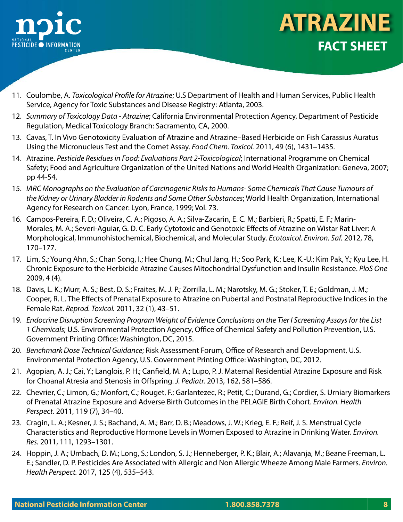

- **FACT SHEET ATRAZINE**
- 11. Coulombe, A. *Toxicological Profile for Atrazine*; U.S Department of Health and Human Services, Public Health Service, Agency for Toxic Substances and Disease Registry: Atlanta, 2003.
- 12. *Summary of Toxicology Data Atrazine*; California Environmental Protection Agency, Department of Pesticide Regulation, Medical Toxicology Branch: Sacramento, CA, 2000.
- 13. Cavas, T. In Vivo Genotoxicity Evaluation of Atrazine and Atrazine–Based Herbicide on Fish Carassius Auratus Using the Micronucleus Test and the Comet Assay. *Food Chem. Toxicol.* 2011, 49 (6), 1431–1435.
- 14. Atrazine. *Pesticide Residues in Food: Evaluations Part 2-Toxicological*; International Programme on Chemical Safety; Food and Agriculture Organization of the United Nations and World Health Organization: Geneva, 2007; pp 44-54.
- 15. *IARC Monographs on the Evaluation of Carcinogenic Risks to Humans- Some Chemicals That Cause Tumours of the Kidney or Urinary Bladder in Rodents and Some Other Substances*; World Health Organization, International Agency for Research on Cancer: Lyon, France, 1999; Vol. 73.
- 16. Campos-Pereira, F. D.; Oliveira, C. A.; Pigoso, A. A.; Silva-Zacarin, E. C. M.; Barbieri, R.; Spatti, E. F.; Marin-Morales, M. A.; Severi-Aguiar, G. D. C. Early Cytotoxic and Genotoxic Effects of Atrazine on Wistar Rat Liver: A Morphological, Immunohistochemical, Biochemical, and Molecular Study. *Ecotoxicol. Environ. Saf.* 2012, 78, 170–177.
- 17. Lim, S.; Young Ahn, S.; Chan Song, I.; Hee Chung, M.; Chul Jang, H.; Soo Park, K.; Lee, K.-U.; Kim Pak, Y.; Kyu Lee, H. Chronic Exposure to the Herbicide Atrazine Causes Mitochondrial Dysfunction and Insulin Resistance. *PloS One* 2009, 4 (4).
- 18. Davis, L. K.; Murr, A. S.; Best, D. S.; Fraites, M. J. P.; Zorrilla, L. M.; Narotsky, M. G.; Stoker, T. E.; Goldman, J. M.; Cooper, R. L. The Effects of Prenatal Exposure to Atrazine on Pubertal and Postnatal Reproductive Indices in the Female Rat. *Reprod. Toxicol.* 2011, 32 (1), 43–51.
- 19. *Endocrine Disruption Screening Program Weight of Evidence Conclusions on the Tier I Screening Assays for the List 1 Chemicals*; U.S. Environmental Protection Agency, Office of Chemical Safety and Pollution Prevention, U.S. Government Printing Office: Washington, DC, 2015.
- 20. *Benchmark Dose Technical Guidance*; Risk Assessment Forum, Office of Research and Development, U.S. Environmental Protection Agency, U.S. Government Printing Office: Washington, DC, 2012.
- 21. Agopian, A. J.; Cai, Y.; Langlois, P. H.; Canfield, M. A.; Lupo, P. J. Maternal Residential Atrazine Exposure and Risk for Choanal Atresia and Stenosis in Offspring. *J. Pediatr.* 2013, 162, 581–586.
- 22. Chevrier, C.; Limon, G.; Monfort, C.; Rouget, F.; Garlantezec, R.; Petit, C.; Durand, G.; Cordier, S. Urniary Biomarkers of Prenatal Atrazine Exposure and Adverse Birth Outcomes in the PELAGIE Birth Cohort. *Environ. Health Perspect.* 2011, 119 (7), 34–40.
- 23. Cragin, L. A.; Kesner, J. S.; Bachand, A. M.; Barr, D. B.; Meadows, J. W.; Krieg, E. F.; Reif, J. S. Menstrual Cycle Characteristics and Reproductive Hormone Levels in Women Exposed to Atrazine in Drinking Water. *Environ. Res.* 2011, 111, 1293–1301.
- 24. Hoppin, J. A.; Umbach, D. M.; Long, S.; London, S. J.; Henneberger, P. K.; Blair, A.; Alavanja, M.; Beane Freeman, L. E.; Sandler, D. P. Pesticides Are Associated with Allergic and Non Allergic Wheeze Among Male Farmers. *Environ. Health Perspect.* 2017, 125 (4), 535–543.